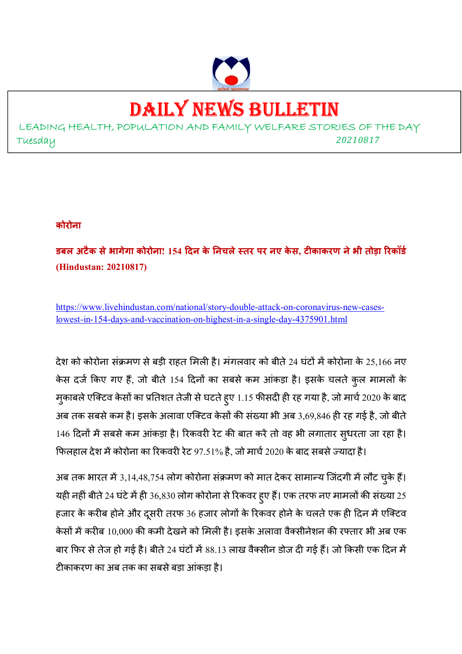

# DAILY NEWS BULLETIN

LEADING HEALTH, POPULATION AND FAMILY WELFARE STORIES OF THE DAY Tuesday *<sup>20210817</sup>*

#### **कोरोना**

**डबल अटैक सेभागेगा कोरोना! 154 दन के नचलेतर पर नए के स, टकाकरण नेभी तोड़ा रकॉड (Hindustan: 20210817)** 

https://www.livehindustan.com/national/story-double-attack-on-coronavirus-new-caseslowest-in-154-days-and-vaccination-on-highest-in-a-single-day-4375901.html

देश को कोरोना संक्रमण से बड़ी राहत मिली है। मंगलवार को बीते 24 घंटों में कोरोना के 25,166 नए केस दर्ज किए गए हैं, जो बीते 154 दिनों का सबसे कम आंकड़ा है। इसके चलते कुल मामलों के मुकाबले एक्टिव केसों का प्रतिशत तेजी से घटते हुए 1.15 फीसदी ही रह गया है, जो मार्च 2020 के बाद अब तक सबसे कम है। इसके अलावा एक्टिव केसों की संख्या भी अब 3,69,846 ही रह गई है, जो बीते 146 दिनों में सबसे कम आंकड़ा है। रिकवरी रेट की बात करें तो वह भी लगातार सुधरता जा रहा है। फिलहाल देश में कोरोना का रिकवरी रेट 97.51% है, जो मार्च 2020 के बाद सबसे ज्यादा है।

अब तक भारत में 3,14,48,754 लोग कोरोना संक्रमण को मात देकर सामान्य जिंदगी में लौट चुके हैं। यही नहीं बीते 24 घंटे में ही 36,830 लोग कोरोना से रिकवर हुए हैं। एक तरफ नए मामलों की संख्या 25 हजार के करीब होने और दुसरी तरफ 36 हजार लोगों के रिकवर होने के चलते एक ही दिन में एक्टिव केसों में करीब 10,000 की कमी देखने को मिली है। इसके अलावा वैक्सीनेशन की रफ्तार भी अब एक बार फिर से तेज हो गई है। बीते 24 घंटों में 88.13 लाख वैक्सीन डोज दी गई हैं। जो किसी एक दिन में टीकाकरण का अब तक का सबसे बड़ा आंकड़ा है।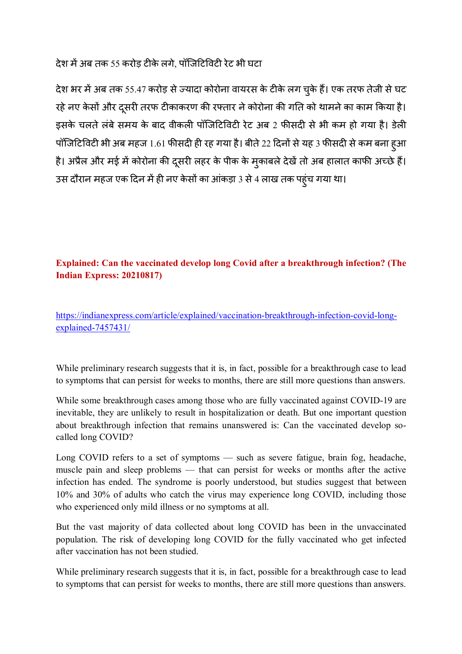देश में अब तक 55 करोड़ टीके लगे, पॉजिटिविटी रेट भी घटा

देश भर में अब तक 55.47 करोड़ से ज्यादा कोरोना वायरस के टीके लग चुके हैं। एक तरफ तेजी से घट रहे नए केसों और दूसरी तरफ टीकाकरण की रफ्तार ने कोरोना की गति को थामने का काम किया है। इसके चलते लंबे समय के बाद वीकली पॉजिटिविटी रेट अब 2 फीसदी से भी कम हो गया है। डेली पॉजिटिविटी भी अब महज 1.61 फीसदी ही रह गया है। बीते 22 दिनों से यह 3 फीसदी से कम बना हुआ है। अप्रैल और मई में कोरोना की दूसरी लहर के पीक के मुकाबले देखें तो अब हालात काफी अच्छे हैं। उस दौरान महज एक दिन में ही नए केसों का आंकड़ा 3 से 4 लाख तक पहुंच गया था।

# **Explained: Can the vaccinated develop long Covid after a breakthrough infection? (The Indian Express: 20210817)**

https://indianexpress.com/article/explained/vaccination-breakthrough-infection-covid-longexplained-7457431/

While preliminary research suggests that it is, in fact, possible for a breakthrough case to lead to symptoms that can persist for weeks to months, there are still more questions than answers.

While some breakthrough cases among those who are fully vaccinated against COVID-19 are inevitable, they are unlikely to result in hospitalization or death. But one important question about breakthrough infection that remains unanswered is: Can the vaccinated develop socalled long COVID?

Long COVID refers to a set of symptoms — such as severe fatigue, brain fog, headache, muscle pain and sleep problems — that can persist for weeks or months after the active infection has ended. The syndrome is poorly understood, but studies suggest that between 10% and 30% of adults who catch the virus may experience long COVID, including those who experienced only mild illness or no symptoms at all.

But the vast majority of data collected about long COVID has been in the unvaccinated population. The risk of developing long COVID for the fully vaccinated who get infected after vaccination has not been studied.

While preliminary research suggests that it is, in fact, possible for a breakthrough case to lead to symptoms that can persist for weeks to months, there are still more questions than answers.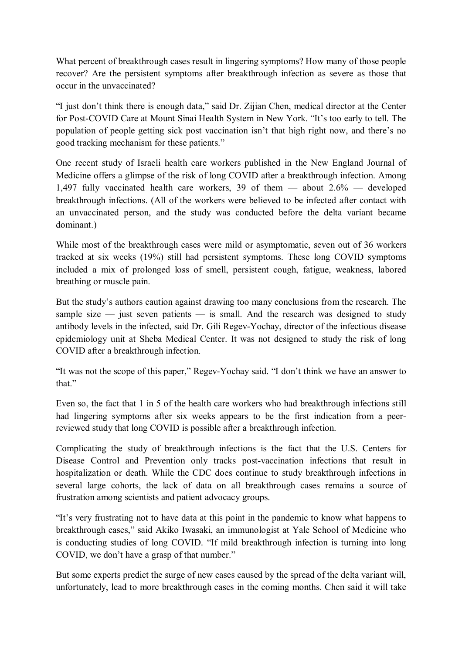What percent of breakthrough cases result in lingering symptoms? How many of those people recover? Are the persistent symptoms after breakthrough infection as severe as those that occur in the unvaccinated?

"I just don't think there is enough data," said Dr. Zijian Chen, medical director at the Center for Post-COVID Care at Mount Sinai Health System in New York. "It's too early to tell. The population of people getting sick post vaccination isn't that high right now, and there's no good tracking mechanism for these patients."

One recent study of Israeli health care workers published in the New England Journal of Medicine offers a glimpse of the risk of long COVID after a breakthrough infection. Among 1,497 fully vaccinated health care workers, 39 of them — about 2.6% — developed breakthrough infections. (All of the workers were believed to be infected after contact with an unvaccinated person, and the study was conducted before the delta variant became dominant.)

While most of the breakthrough cases were mild or asymptomatic, seven out of 36 workers tracked at six weeks (19%) still had persistent symptoms. These long COVID symptoms included a mix of prolonged loss of smell, persistent cough, fatigue, weakness, labored breathing or muscle pain.

But the study's authors caution against drawing too many conclusions from the research. The sample size  $-$  just seven patients  $-$  is small. And the research was designed to study antibody levels in the infected, said Dr. Gili Regev-Yochay, director of the infectious disease epidemiology unit at Sheba Medical Center. It was not designed to study the risk of long COVID after a breakthrough infection.

"It was not the scope of this paper," Regev-Yochay said. "I don't think we have an answer to that."

Even so, the fact that 1 in 5 of the health care workers who had breakthrough infections still had lingering symptoms after six weeks appears to be the first indication from a peerreviewed study that long COVID is possible after a breakthrough infection.

Complicating the study of breakthrough infections is the fact that the U.S. Centers for Disease Control and Prevention only tracks post-vaccination infections that result in hospitalization or death. While the CDC does continue to study breakthrough infections in several large cohorts, the lack of data on all breakthrough cases remains a source of frustration among scientists and patient advocacy groups.

"It's very frustrating not to have data at this point in the pandemic to know what happens to breakthrough cases," said Akiko Iwasaki, an immunologist at Yale School of Medicine who is conducting studies of long COVID. "If mild breakthrough infection is turning into long COVID, we don't have a grasp of that number."

But some experts predict the surge of new cases caused by the spread of the delta variant will. unfortunately, lead to more breakthrough cases in the coming months. Chen said it will take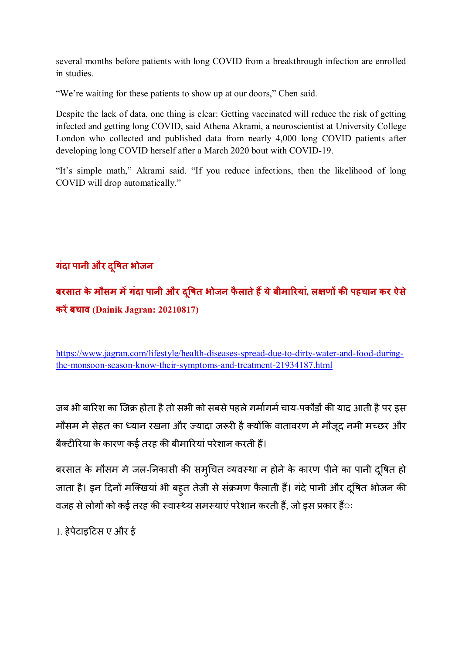several months before patients with long COVID from a breakthrough infection are enrolled in studies.

"We're waiting for these patients to show up at our doors," Chen said.

Despite the lack of data, one thing is clear: Getting vaccinated will reduce the risk of getting infected and getting long COVID, said Athena Akrami, a neuroscientist at University College London who collected and published data from nearly 4,000 long COVID patients after developing long COVID herself after a March 2020 bout with COVID-19.

"It's simple math," Akrami said. "If you reduce infections, then the likelihood of long COVID will drop automatically."

# **गंदा पानी और द#षत ू भोजन**

**बरसात के मौसम म(गंदा पानी और द#षत ू भोजन फै लातेह+येबीमारयां, ल-ण. क/ पहचान कर ऐसे करें बचाव (Dainik Jagran: 20210817)** 

https://www.jagran.com/lifestyle/health-diseases-spread-due-to-dirty-water-and-food-duringthe-monsoon-season-know-their-symptoms-and-treatment-21934187.html

जब भी बारिश का जिक्र होता है तो सभी को सबसे पहले गर्मागर्म चाय-पकौड़ों की याद आती है पर इस मौसम में सेहत का ध्यान रखना और ज्यादा जरूरी है क्योंकि वातावरण में मौजूद नमी मच्छर और बैक्टीरिया के कारण कई तरह की बीमारियां परेशान करती हैं।

बरसात के मौसम में जल-निकासी की समृचित व्यवस्था न होने के कारण पीने का पानी दुषित हो जाता है। इन दिनों मक्खियां भी बहुत तेजी से संक्रमण फैलाती हैं। गंदे पानी और दूषित भोजन की वजह से लोगों को कई तरह की स्वास्थ्य समस्याएं परेशान करती हैं. जो इस प्रकार हैंः

1. हेपेटाइटिस ए और ई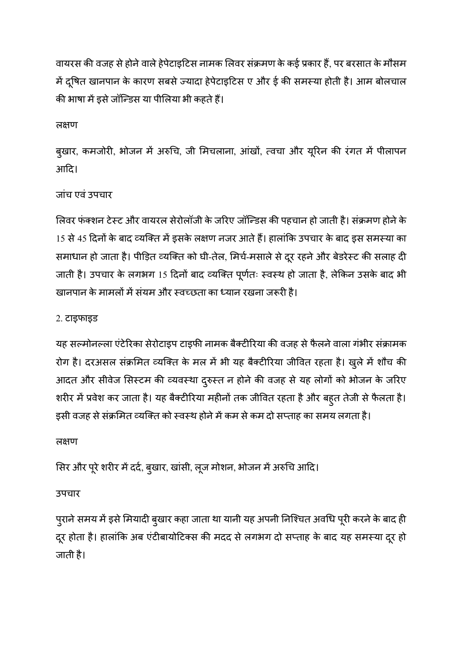वायरस की वजह से होने वाले हेपेटाइटिस नामक लिवर संक्रमण के कई प्रकार हैं, पर बरसात के मौसम में दूषित खानपान के कारण सबसे ज्यादा हेपेटाइटिस ए और ई की समस्या होती है। आम बोलचाल की भाषा में डसे जॉन्डिस या पीलिया भी कहते हैं।

लक्षण

बुखार, कमजोरी, भोजन में अरुचि, जी मिचलाना, आंखों, त्वचा और यूरिन की रंगत में पीलापन आदि।

## जांच एवंउपचार

लिवर फंक्शन टेस्ट और वायरल सेरोलॉजी के जरिए जॉन्डिस की पहचान हो जाती है। संक्रमण होने के 15 से 45 दिनों के बाद व्यक्ति में इसके लक्षण नजर आते हैं। हालांकि उपचार के बाद इस समस्या का समाधान हो जाता है। पीड़ित व्यक्ति को घी-तेल, मिर्च-मसाले से दूर रहने और बेडरेस्ट की सलाह दी जाती है। उपचार के लगभग 15 दिनों बाद व्यक्ति पूर्णतः स्वस्थ हो जाता है, लेकिन उसके बाद भी खानपान के मामलों में संयम और स्वच्छता का ध्यान रखना जरूरी है।

2. टाइफाइड

यह सल्मोनल्ला एंटेरिका सेरोटाइप टाइफी नामक बैक्टीरिया की वजह से फैलने वाला गंभीर संक्रामक रोग है। दरअसल संक्रमित व्यक्ति के मल में भी यह बैक्टीरिया जीवित रहता है। खुले में शौच की आदत और सीवेज सिस्टम की व्यवस्था दुरुस्त न होने की वजह से यह लोगों को भोजन के जरिए शरीर में प्रवेश कर जाता है। यह बैक्टीरिया महीनों तक जीवित रहता है और बहुत तेजी से फैलता है। इसी वजह से संक्रमित व्यक्ति को स्वस्थ होने में कम से कम दो सप्ताह का समय लगता है।

त्रक्षण

सिर और पूरे शरीर में दर्द, बुखार, खांसी, लूज मोशन, भोजन में अरुचि आदि।

उपचार

पुराने समय में इसे मियादी बुखार कहा जाता था यानी यह अपनी निश्चित अवधि पूरी करने के बाद ही दूर होता है। हालांकि अब एंटीबायोटिक्स की मदद से लगभग दो सप्ताह के बाद यह समस्या दूर हो जाती है।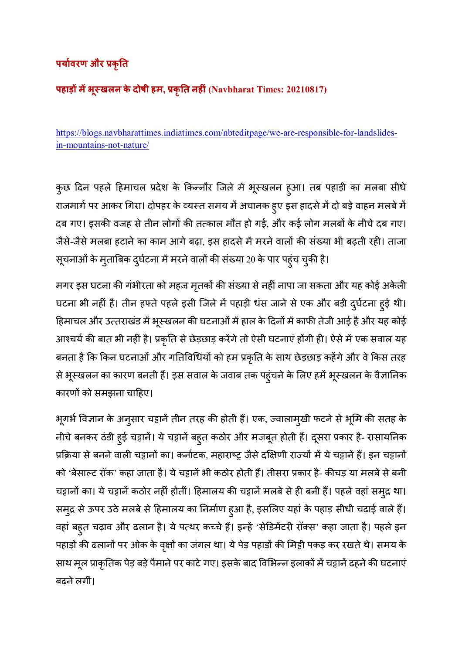# **पयावरण और 2कृत**

# **पहाड़. म(भूखलन के दोषी हम, 2कृत नहं (Navbharat Times: 20210817)**

https://blogs.navbharattimes.indiatimes.com/nbteditpage/we-are-responsible-for-landslidesin-mountains-not-nature/

कुछ दिन पहले हिमाचल प्रदेश के किन्नौर जिले में भूस्खलन हुआ। तब पहाड़ी का मलबा सीधे राजमार्ग पर आकर गिरा। दोपहर के व्यस्त समय में अचानक हुए इस हादसे में दो बड़े वाहन मलबे में दब गए। इसकी वजह से तीन लोगों की तत्काल मौत हो गई, और कई लोग मलबों के नीचे दब गए। जैसे-जैसे मलबा हटाने का काम आगे बढ़ा, इस हादसे में मरने वालों की संख्या भी बढ़ती रही। ताजा सूचनाओं के मुताबिक दुर्घटना में मरने वालों की संख्या 20 के पार पहुंच चुकी है।

मगर इस घटना की गंभीरता को महज मृतकों की संख्या से नहीं नापा जा सकता और यह कोई अकेली घटना भी नहीं है। तीन हफ्ते पहले इसी जिले में पहाड़ी धंस जाने से एक और बड़ी दुर्घटना हुई थी। हिमाचल और उत्तराखंड में भूस्खलन की घटनाओं में हाल के दिनों में काफी तेजी आई है और यह कोई आश्चर्य की बात भी नहीं है। प्रकृति से छेड़छाड़ करेंगे तो ऐसी घटनाएं होंगी ही। ऐसे में एक सवाल यह बनता है कि किन घटनाओं और गतिविधियों को हम प्रकृति के साथ छेड़छाड़ कहेंगे और वे किस तरह से भूस्खलन का कारण बनती हैं। इस सवाल के जवाब तक पहुंचने के लिए हमें भूस्खलन के वैज्ञानिक कारणों को समझना चाहिए।

भूगर्भ विज्ञान के अनुसार चट्टानें तीन तरह की होती हैं। एक, ज्वालामुखी फटने से भूमि की सतह के नीचे बनकर ठंडी हुई चट्टानें। ये चट्टानें बहुत कठोर और मजबूत होती हैं। दूसरा प्रकार है- रासायनिक प्रक्रिया से बनने वाली चट्टानों का। कर्नाटक, महाराष्ट्र जैसे दक्षिणी राज्यों में ये चट्टानें हैं। इन चट्टानों को 'बेसाल्ट रॉक' कहा जाता है। ये चट्टानें भी कठोर होती हैं। तीसरा प्रकार है- कीचड़ या मलबे से बनी चट्टानों का। ये चट्टानें कठोर नहीं होतीं। हिमालय की चट्टानें मलबे से ही बनी हैं। पहले वहां समुद्र था। समुद्र से ऊपर उठे मलबे से हिमालय का निर्माण हुआ है, इसलिए यहां के पहाड़ सीधी चढ़ाई वाले हैं। वहां बहुत चढ़ाव और ढलान है। ये पत्थर कच्चे हैं। इन्हें 'सेडिमेंटरी रॉक्स' कहा जाता है। पहले इन पहाड़ों की ढलानों पर ओक के वृक्षों का जंगल था। ये पेड़ पहाड़ों की मिट्टी पकड़ कर रखते थे। समय के साथ मूल प्राकृतिक पेड़ बड़े पैमाने पर काटे गए। इसके बाद विभिन्न इलाकों में चट्टानें ढहने की घटनाएं बढने लगीं।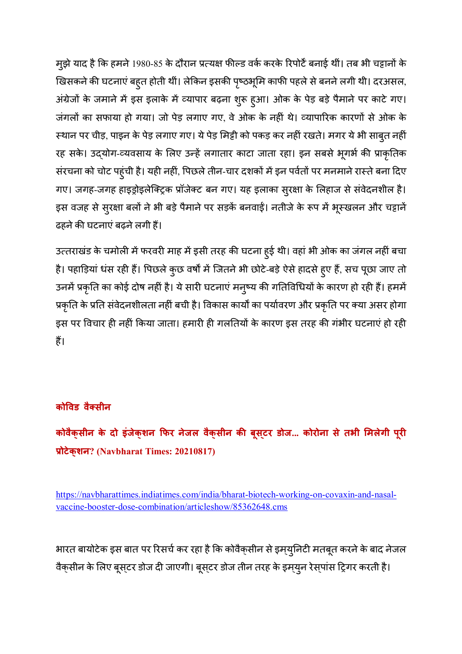मुझे याद है कि हमने 1980-85 के दौरान प्रत्यक्ष फील्ड वर्क करके रिपोर्टे बनाई थीं। तब भी चट्टानों के खिसकने की घटनाएं बहुत होती थीं। लेकिन इसकी पृष्ठभूमि काफी पहले से बनने लगी थी। दरअसल, अंग्रेजों के जमाने में इस इलाके में व्यापार बढ़ना शुरू हुआ। ओक के पेड़ बड़े पैमाने पर काटे गए। जंगलों का सफाया हो गया। जो पेड़ लगाए गए, वे ओक के नहीं थे। व्यापारिक कारणों से ओक के स्थान पर चीड़, पाइन के पेड़ लगाए गए। ये पेड़ मिट्टी को पकड़ कर नहीं रखते। मगर ये भी साब्*त न*हीं रह सके। उद्योग-व्यवसाय के लिए उन्हें लगातार काटा जाता रहा। इन सबसे भूगर्भ की प्राकृतिक संरचना को चोट पहुंची है। यही नहीं, पिछले तीन-चार दशकों में इन पर्वतों पर मनमाने रास्ते बना दिए गए। जगह-जगह हाइड्रोइलेक्ट्रिक प्रॉजेक्ट बन गए। यह इलाका सुरक्षा के लिहाज से संवेदनशील है। इस वजह से सुरक्षा बलों ने भी बड़े पैमाने पर सड़कें बनवाईं। नतीजे के रूप में भूस्खलन और चट्टानें ढहने की घटनाएं बढ़ने लगी हैं।

उत्तराखंड के चमोली में फरवरी माह में इसी तरह की घटना हुई थी। वहां भी ओक का जंगल नहीं बचा है। पहाड़ियां धंस रही हैं। पिछले कुछ वर्षों में जितने भी छोटे-बड़े ऐसे हादसे हुए हैं, सच पूछा जाए तो उनमें प्रकृति का कोई दोष नहीं है। ये सारी घटनाएं मनुष्य की गतिविधियों के कारण हो रही हैं। हममें प्रकृति के प्रति संवेदनशीलता नहीं बची है। विकास कार्यों का पर्यावरण और प्रकृति पर क्या असर होगा इस पर विचार ही नहीं किया जाता। हमारी ही गलतियों के कारण इस तरह की गंभीर घटनाएं हो रही हैं।

# **कोविड वैक्सीन**

**कोवैक्सीन के दो इंजेक्शन 9फर नेजल वैक्सीन क/ बूसटर् डोज... कोरोना सेतभी :मलेगी पूर 2ोटेक्शन? (Navbharat Times: 20210817)** 

https://navbharattimes.indiatimes.com/india/bharat-biotech-working-on-covaxin-and-nasalvaccine-booster-dose-combination/articleshow/85362648.cms

भारत बायोटेक इस बात पर रिसर्च कर रहा है कि कोवैक्सीन से इम्य्युनिटी मतबूत करने के बाद नेजल वैक्सीन के लिए बूस्टर डोज दी जाएगी। बूस्टर डोज तीन तरह के इम्युन रेस्पांस ट्रिगर करती है।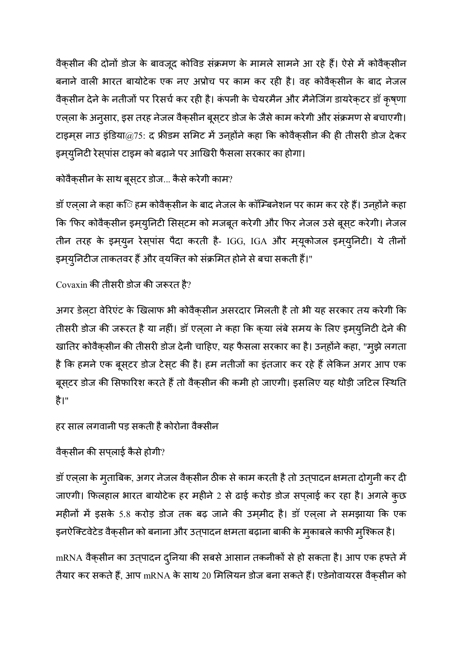वैक्सीन की दोनों डोज के बावजूद कोविड संक्रमण के मामले सामने आ रहे हैं। ऐसे में कोवैक्सीन बनाने वाली भारत बायोटेक एक नए अप्रोच पर काम कर रही है। वह कोवैक्सीन के बाद नेजल वैक्सीन देने के नतीजों पर रिसर्च कर रही है। कंपनी के चेयरमैन और मैनेजिंग डायरेक्टर डॉ कृष्णा एल्ला के अनुसार, इस तरह नेजल वैक्सीन बूस्टर डोज के जैसे काम करेगी और संक्रमण से बचाएगी। टाइमस नाउ इंडिया@75: द फ्रीडम समिट में उनहोंने कहा कि कोवैकसीन की ही तीसरी डोज देकर इमयुनिटी रेसपांस टाइम को बढ़ाने पर आखिरी फैसला सरकार का होगा।

कोवैक्**सीन के साथ बूस्**टर डोज... कैसे करेगी काम?

डॉ एल्ला ने कहा क**ि हम कोवैक्**सीन के बाद नेजल के कॉम्बिनेशन पर काम कर रहे हैं। उन्**होंने कहा** कि 'फिर कोवैक्सीन इम्युनिटी सिस्टम को मजबूत करेगी और फिर नेजल उसे बूस्ट करेगी। नेजल तीन तरह के इमयुन रेसपांस पैदा करती है- IGG, IGA और मयूकोजल इमयुनिटी। ये तीनों इम्युनिटीज ताकतवर हैं और व्यक्ति को संक्रमित होने से बचा सकती हैं।"

Covaxin की तीसरी डोज की जरूरत है?

अगर डेलटा वेरिएंट के खिलाफ भी कोवैकसीन असरदार मिलती है तो भी यह सरकार तय करेगी कि तीसरी डोज की जरूरत है या नहीं। डॉ एल्ला ने कहा कि क्या लंबे समय के लिए इमयुनिटी देने की खातिर कोवैक्सीन की तीसरी डोज देनी चाहिए, यह फैसला सरकार का है। उनहोंने कहा, "मुझे लगता है कि हमने एक बूसटर डोज टेस्ट की है। हम नतीजों का इंतजार कर रहे हैं लेकिन अगर आप एक बूस्टर डोज की सिफारिश करते हैं तो वैक्सीन की कमी हो जाएगी। इसलिए यह थोड़ी जटिल स्थिति है।"

हर साल लगवानी पड़ सकती है कोरोना वैक्सीन

वैकुसीन की सपलाई कैसे होगी?

डॉ एल्ला के मुताबिक, अगर नेजल वैक्सीन ठीक से काम करती है तो उत्पादन क्षमता दोगुनी कर दी जाएगी। फिलहाल भारत बायोटेक हर महीने 2 से ढाई करोड़ डोज सपलाई कर रहा है। अगले कुछ महीनों में इसके 5.8 करोड़ डोज तक बढ़ जाने की उम़मीद है। डॉ एल़ला ने समझाया कि एक इनऐक्टिवेटेड वैक्सीन को बनाना और उत्पादन क्षमता बढ़ाना बाकी के मुकाबले काफी मुश्किल है।

mRNA वैक्**सीन का उत्**पादन दुनिया की सबसे आसान तकनीकों से हो सकता है। आप एक हफ्ते में तैयार कर सकते हैं, आप mRNA के साथ 20 मिलियन डोज बना सकते हैं। एडेनोवायरस वैक्*सीन* को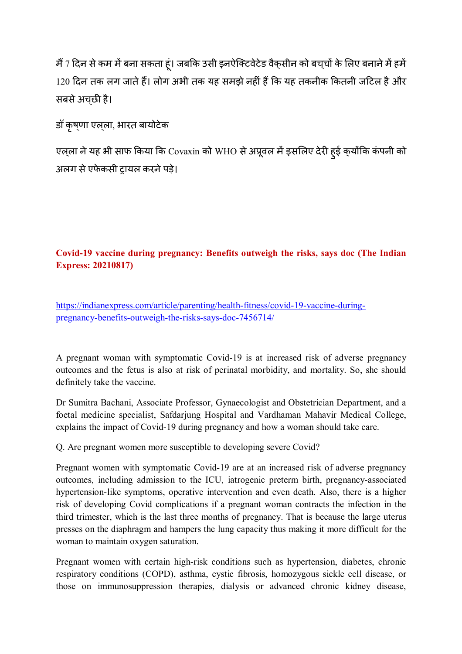मैं 7 दिन से कम में बना सकता हूं। जबकि उसी इनऐक्टिवेटेड वैक्सीन को बच्चों के लिए बनाने में हमें 120 दिन तक लग जाते हैं। लोग अभी तक यह समझे नहीं हैं कि यह तकनीक कितनी जटिल है और सबसे अचछी है।

डॉ कृषणा एलला, भारत बायोटेक

एल्ला ने यह भी साफ किया कि Covaxin को WHO से अप्रूवल में इसलिए देरी हुई क्योंकि कंपनी को अलग से एफेकसी टायल करने पड़े।

# **Covid-19 vaccine during pregnancy: Benefits outweigh the risks, says doc (The Indian Express: 20210817)**

https://indianexpress.com/article/parenting/health-fitness/covid-19-vaccine-duringpregnancy-benefits-outweigh-the-risks-says-doc-7456714/

A pregnant woman with symptomatic Covid-19 is at increased risk of adverse pregnancy outcomes and the fetus is also at risk of perinatal morbidity, and mortality. So, she should definitely take the vaccine.

Dr Sumitra Bachani, Associate Professor, Gynaecologist and Obstetrician Department, and a foetal medicine specialist, Safdarjung Hospital and Vardhaman Mahavir Medical College, explains the impact of Covid-19 during pregnancy and how a woman should take care.

Q. Are pregnant women more susceptible to developing severe Covid?

Pregnant women with symptomatic Covid-19 are at an increased risk of adverse pregnancy outcomes, including admission to the ICU, iatrogenic preterm birth, pregnancy-associated hypertension-like symptoms, operative intervention and even death. Also, there is a higher risk of developing Covid complications if a pregnant woman contracts the infection in the third trimester, which is the last three months of pregnancy. That is because the large uterus presses on the diaphragm and hampers the lung capacity thus making it more difficult for the woman to maintain oxygen saturation.

Pregnant women with certain high-risk conditions such as hypertension, diabetes, chronic respiratory conditions (COPD), asthma, cystic fibrosis, homozygous sickle cell disease, or those on immunosuppression therapies, dialysis or advanced chronic kidney disease,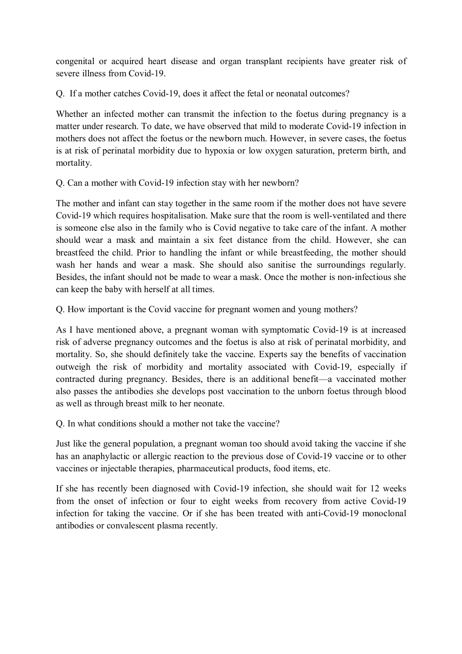congenital or acquired heart disease and organ transplant recipients have greater risk of severe illness from Covid-19.

Q. If a mother catches Covid-19, does it affect the fetal or neonatal outcomes?

Whether an infected mother can transmit the infection to the foetus during pregnancy is a matter under research. To date, we have observed that mild to moderate Covid-19 infection in mothers does not affect the foetus or the newborn much. However, in severe cases, the foetus is at risk of perinatal morbidity due to hypoxia or low oxygen saturation, preterm birth, and mortality.

Q. Can a mother with Covid-19 infection stay with her newborn?

The mother and infant can stay together in the same room if the mother does not have severe Covid-19 which requires hospitalisation. Make sure that the room is well-ventilated and there is someone else also in the family who is Covid negative to take care of the infant. A mother should wear a mask and maintain a six feet distance from the child. However, she can breastfeed the child. Prior to handling the infant or while breastfeeding, the mother should wash her hands and wear a mask. She should also sanitise the surroundings regularly. Besides, the infant should not be made to wear a mask. Once the mother is non-infectious she can keep the baby with herself at all times.

Q. How important is the Covid vaccine for pregnant women and young mothers?

As I have mentioned above, a pregnant woman with symptomatic Covid-19 is at increased risk of adverse pregnancy outcomes and the foetus is also at risk of perinatal morbidity, and mortality. So, she should definitely take the vaccine. Experts say the benefits of vaccination outweigh the risk of morbidity and mortality associated with Covid-19, especially if contracted during pregnancy. Besides, there is an additional benefit—a vaccinated mother also passes the antibodies she develops post vaccination to the unborn foetus through blood as well as through breast milk to her neonate.

Q. In what conditions should a mother not take the vaccine?

Just like the general population, a pregnant woman too should avoid taking the vaccine if she has an anaphylactic or allergic reaction to the previous dose of Covid-19 vaccine or to other vaccines or injectable therapies, pharmaceutical products, food items, etc.

If she has recently been diagnosed with Covid-19 infection, she should wait for 12 weeks from the onset of infection or four to eight weeks from recovery from active Covid-19 infection for taking the vaccine. Or if she has been treated with anti-Covid-19 monoclonal antibodies or convalescent plasma recently.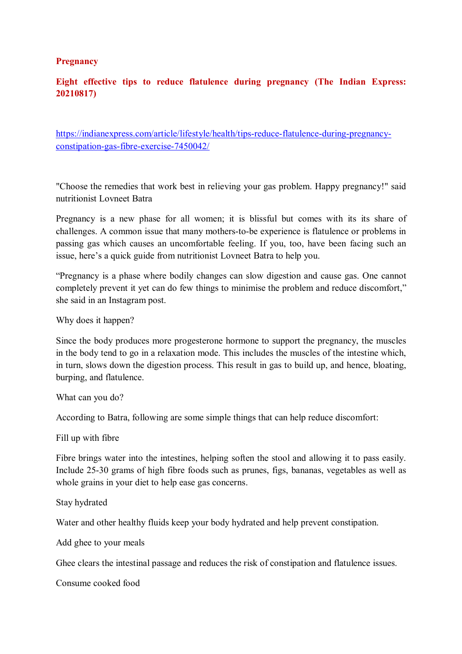#### **Pregnancy**

## **Eight effective tips to reduce flatulence during pregnancy (The Indian Express: 20210817)**

https://indianexpress.com/article/lifestyle/health/tips-reduce-flatulence-during-pregnancyconstipation-gas-fibre-exercise-7450042/

"Choose the remedies that work best in relieving your gas problem. Happy pregnancy!" said nutritionist Lovneet Batra

Pregnancy is a new phase for all women; it is blissful but comes with its its share of challenges. A common issue that many mothers-to-be experience is flatulence or problems in passing gas which causes an uncomfortable feeling. If you, too, have been facing such an issue, here's a quick guide from nutritionist Lovneet Batra to help you.

"Pregnancy is a phase where bodily changes can slow digestion and cause gas. One cannot completely prevent it yet can do few things to minimise the problem and reduce discomfort," she said in an Instagram post.

Why does it happen?

Since the body produces more progesterone hormone to support the pregnancy, the muscles in the body tend to go in a relaxation mode. This includes the muscles of the intestine which, in turn, slows down the digestion process. This result in gas to build up, and hence, bloating, burping, and flatulence.

What can you do?

According to Batra, following are some simple things that can help reduce discomfort:

Fill up with fibre

Fibre brings water into the intestines, helping soften the stool and allowing it to pass easily. Include 25-30 grams of high fibre foods such as prunes, figs, bananas, vegetables as well as whole grains in your diet to help ease gas concerns.

Stay hydrated

Water and other healthy fluids keep your body hydrated and help prevent constipation.

Add ghee to your meals

Ghee clears the intestinal passage and reduces the risk of constipation and flatulence issues.

Consume cooked food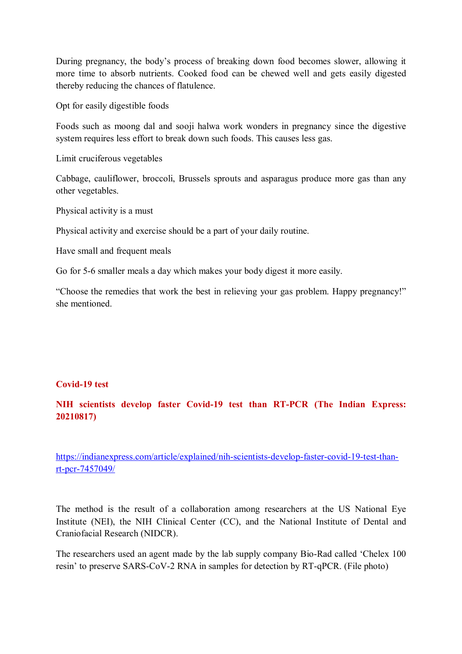During pregnancy, the body's process of breaking down food becomes slower, allowing it more time to absorb nutrients. Cooked food can be chewed well and gets easily digested thereby reducing the chances of flatulence.

Opt for easily digestible foods

Foods such as moong dal and sooji halwa work wonders in pregnancy since the digestive system requires less effort to break down such foods. This causes less gas.

Limit cruciferous vegetables

Cabbage, cauliflower, broccoli, Brussels sprouts and asparagus produce more gas than any other vegetables.

Physical activity is a must

Physical activity and exercise should be a part of your daily routine.

Have small and frequent meals

Go for 5-6 smaller meals a day which makes your body digest it more easily.

"Choose the remedies that work the best in relieving your gas problem. Happy pregnancy!" she mentioned.

#### **Covid-19 test**

## **NIH scientists develop faster Covid-19 test than RT-PCR (The Indian Express: 20210817)**

https://indianexpress.com/article/explained/nih-scientists-develop-faster-covid-19-test-thanrt-pcr-7457049/

The method is the result of a collaboration among researchers at the US National Eye Institute (NEI), the NIH Clinical Center (CC), and the National Institute of Dental and Craniofacial Research (NIDCR).

The researchers used an agent made by the lab supply company Bio-Rad called 'Chelex 100 resin' to preserve SARS-CoV-2 RNA in samples for detection by RT-qPCR. (File photo)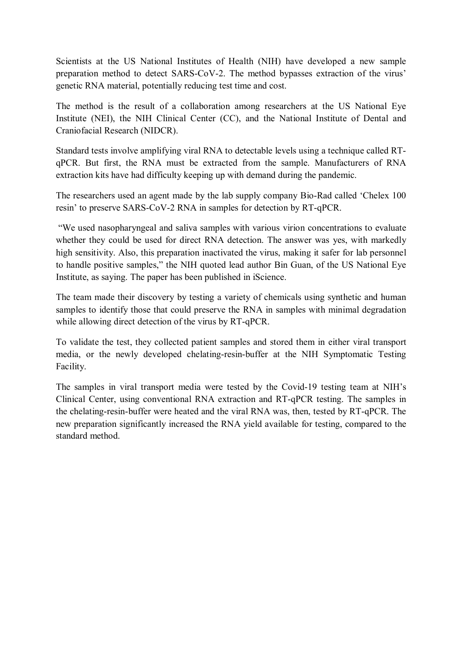Scientists at the US National Institutes of Health (NIH) have developed a new sample preparation method to detect SARS-CoV-2. The method bypasses extraction of the virus' genetic RNA material, potentially reducing test time and cost.

The method is the result of a collaboration among researchers at the US National Eye Institute (NEI), the NIH Clinical Center (CC), and the National Institute of Dental and Craniofacial Research (NIDCR).

Standard tests involve amplifying viral RNA to detectable levels using a technique called RTqPCR. But first, the RNA must be extracted from the sample. Manufacturers of RNA extraction kits have had difficulty keeping up with demand during the pandemic.

The researchers used an agent made by the lab supply company Bio-Rad called 'Chelex 100 resin' to preserve SARS-CoV-2 RNA in samples for detection by RT-qPCR.

 "We used nasopharyngeal and saliva samples with various virion concentrations to evaluate whether they could be used for direct RNA detection. The answer was yes, with markedly high sensitivity. Also, this preparation inactivated the virus, making it safer for lab personnel to handle positive samples," the NIH quoted lead author Bin Guan, of the US National Eye Institute, as saying. The paper has been published in iScience.

The team made their discovery by testing a variety of chemicals using synthetic and human samples to identify those that could preserve the RNA in samples with minimal degradation while allowing direct detection of the virus by RT-qPCR.

To validate the test, they collected patient samples and stored them in either viral transport media, or the newly developed chelating-resin-buffer at the NIH Symptomatic Testing Facility.

The samples in viral transport media were tested by the Covid-19 testing team at NIH's Clinical Center, using conventional RNA extraction and RT-qPCR testing. The samples in the chelating-resin-buffer were heated and the viral RNA was, then, tested by RT-qPCR. The new preparation significantly increased the RNA yield available for testing, compared to the standard method.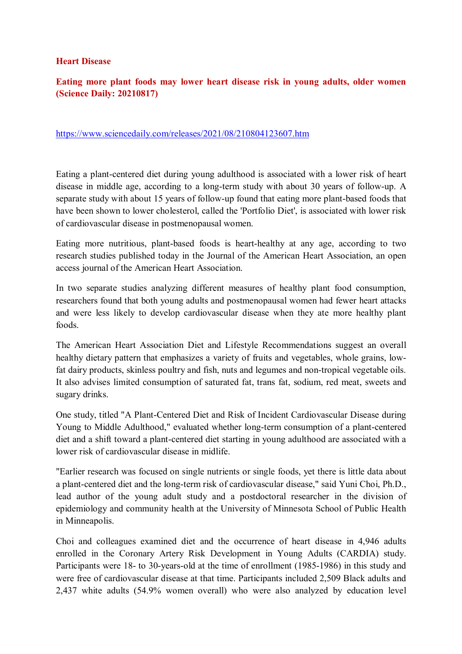#### **Heart Disease**

## **Eating more plant foods may lower heart disease risk in young adults, older women (Science Daily: 20210817)**

#### https://www.sciencedaily.com/releases/2021/08/210804123607.htm

Eating a plant-centered diet during young adulthood is associated with a lower risk of heart disease in middle age, according to a long-term study with about 30 years of follow-up. A separate study with about 15 years of follow-up found that eating more plant-based foods that have been shown to lower cholesterol, called the 'Portfolio Diet', is associated with lower risk of cardiovascular disease in postmenopausal women.

Eating more nutritious, plant-based foods is heart-healthy at any age, according to two research studies published today in the Journal of the American Heart Association, an open access journal of the American Heart Association.

In two separate studies analyzing different measures of healthy plant food consumption, researchers found that both young adults and postmenopausal women had fewer heart attacks and were less likely to develop cardiovascular disease when they ate more healthy plant foods.

The American Heart Association Diet and Lifestyle Recommendations suggest an overall healthy dietary pattern that emphasizes a variety of fruits and vegetables, whole grains, lowfat dairy products, skinless poultry and fish, nuts and legumes and non-tropical vegetable oils. It also advises limited consumption of saturated fat, trans fat, sodium, red meat, sweets and sugary drinks.

One study, titled "A Plant-Centered Diet and Risk of Incident Cardiovascular Disease during Young to Middle Adulthood," evaluated whether long-term consumption of a plant-centered diet and a shift toward a plant-centered diet starting in young adulthood are associated with a lower risk of cardiovascular disease in midlife.

"Earlier research was focused on single nutrients or single foods, yet there is little data about a plant-centered diet and the long-term risk of cardiovascular disease," said Yuni Choi, Ph.D., lead author of the young adult study and a postdoctoral researcher in the division of epidemiology and community health at the University of Minnesota School of Public Health in Minneapolis.

Choi and colleagues examined diet and the occurrence of heart disease in 4,946 adults enrolled in the Coronary Artery Risk Development in Young Adults (CARDIA) study. Participants were 18- to 30-years-old at the time of enrollment (1985-1986) in this study and were free of cardiovascular disease at that time. Participants included 2,509 Black adults and 2,437 white adults (54.9% women overall) who were also analyzed by education level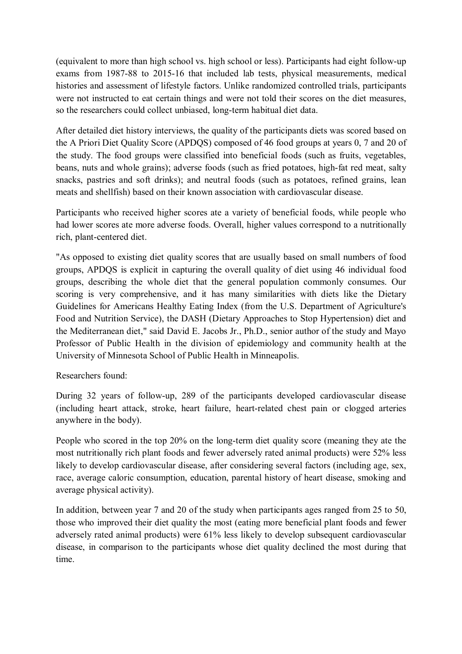(equivalent to more than high school vs. high school or less). Participants had eight follow-up exams from 1987-88 to 2015-16 that included lab tests, physical measurements, medical histories and assessment of lifestyle factors. Unlike randomized controlled trials, participants were not instructed to eat certain things and were not told their scores on the diet measures, so the researchers could collect unbiased, long-term habitual diet data.

After detailed diet history interviews, the quality of the participants diets was scored based on the A Priori Diet Quality Score (APDQS) composed of 46 food groups at years 0, 7 and 20 of the study. The food groups were classified into beneficial foods (such as fruits, vegetables, beans, nuts and whole grains); adverse foods (such as fried potatoes, high-fat red meat, salty snacks, pastries and soft drinks); and neutral foods (such as potatoes, refined grains, lean meats and shellfish) based on their known association with cardiovascular disease.

Participants who received higher scores ate a variety of beneficial foods, while people who had lower scores ate more adverse foods. Overall, higher values correspond to a nutritionally rich, plant-centered diet.

"As opposed to existing diet quality scores that are usually based on small numbers of food groups, APDQS is explicit in capturing the overall quality of diet using 46 individual food groups, describing the whole diet that the general population commonly consumes. Our scoring is very comprehensive, and it has many similarities with diets like the Dietary Guidelines for Americans Healthy Eating Index (from the U.S. Department of Agriculture's Food and Nutrition Service), the DASH (Dietary Approaches to Stop Hypertension) diet and the Mediterranean diet," said David E. Jacobs Jr., Ph.D., senior author of the study and Mayo Professor of Public Health in the division of epidemiology and community health at the University of Minnesota School of Public Health in Minneapolis.

Researchers found:

During 32 years of follow-up, 289 of the participants developed cardiovascular disease (including heart attack, stroke, heart failure, heart-related chest pain or clogged arteries anywhere in the body).

People who scored in the top 20% on the long-term diet quality score (meaning they ate the most nutritionally rich plant foods and fewer adversely rated animal products) were 52% less likely to develop cardiovascular disease, after considering several factors (including age, sex, race, average caloric consumption, education, parental history of heart disease, smoking and average physical activity).

In addition, between year 7 and 20 of the study when participants ages ranged from 25 to 50, those who improved their diet quality the most (eating more beneficial plant foods and fewer adversely rated animal products) were 61% less likely to develop subsequent cardiovascular disease, in comparison to the participants whose diet quality declined the most during that time.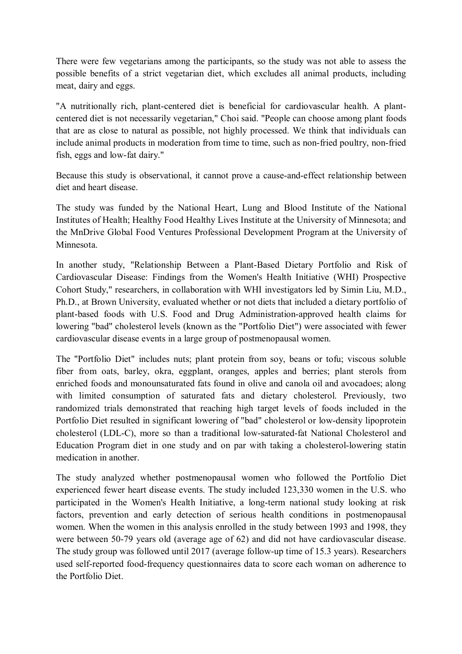There were few vegetarians among the participants, so the study was not able to assess the possible benefits of a strict vegetarian diet, which excludes all animal products, including meat, dairy and eggs.

"A nutritionally rich, plant-centered diet is beneficial for cardiovascular health. A plantcentered diet is not necessarily vegetarian," Choi said. "People can choose among plant foods that are as close to natural as possible, not highly processed. We think that individuals can include animal products in moderation from time to time, such as non-fried poultry, non-fried fish, eggs and low-fat dairy."

Because this study is observational, it cannot prove a cause-and-effect relationship between diet and heart disease.

The study was funded by the National Heart, Lung and Blood Institute of the National Institutes of Health; Healthy Food Healthy Lives Institute at the University of Minnesota; and the MnDrive Global Food Ventures Professional Development Program at the University of Minnesota.

In another study, "Relationship Between a Plant-Based Dietary Portfolio and Risk of Cardiovascular Disease: Findings from the Women's Health Initiative (WHI) Prospective Cohort Study," researchers, in collaboration with WHI investigators led by Simin Liu, M.D., Ph.D., at Brown University, evaluated whether or not diets that included a dietary portfolio of plant-based foods with U.S. Food and Drug Administration-approved health claims for lowering "bad" cholesterol levels (known as the "Portfolio Diet") were associated with fewer cardiovascular disease events in a large group of postmenopausal women.

The "Portfolio Diet" includes nuts; plant protein from soy, beans or tofu; viscous soluble fiber from oats, barley, okra, eggplant, oranges, apples and berries; plant sterols from enriched foods and monounsaturated fats found in olive and canola oil and avocadoes; along with limited consumption of saturated fats and dietary cholesterol. Previously, two randomized trials demonstrated that reaching high target levels of foods included in the Portfolio Diet resulted in significant lowering of "bad" cholesterol or low-density lipoprotein cholesterol (LDL-C), more so than a traditional low-saturated-fat National Cholesterol and Education Program diet in one study and on par with taking a cholesterol-lowering statin medication in another.

The study analyzed whether postmenopausal women who followed the Portfolio Diet experienced fewer heart disease events. The study included 123,330 women in the U.S. who participated in the Women's Health Initiative, a long-term national study looking at risk factors, prevention and early detection of serious health conditions in postmenopausal women. When the women in this analysis enrolled in the study between 1993 and 1998, they were between 50-79 years old (average age of 62) and did not have cardiovascular disease. The study group was followed until 2017 (average follow-up time of 15.3 years). Researchers used self-reported food-frequency questionnaires data to score each woman on adherence to the Portfolio Diet.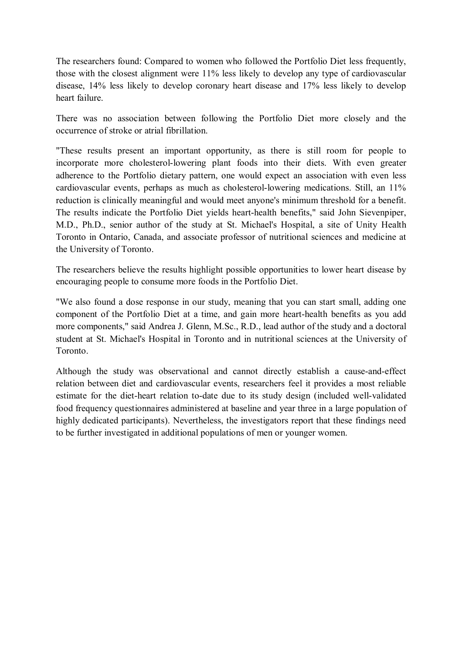The researchers found: Compared to women who followed the Portfolio Diet less frequently, those with the closest alignment were 11% less likely to develop any type of cardiovascular disease, 14% less likely to develop coronary heart disease and 17% less likely to develop heart failure.

There was no association between following the Portfolio Diet more closely and the occurrence of stroke or atrial fibrillation.

"These results present an important opportunity, as there is still room for people to incorporate more cholesterol-lowering plant foods into their diets. With even greater adherence to the Portfolio dietary pattern, one would expect an association with even less cardiovascular events, perhaps as much as cholesterol-lowering medications. Still, an 11% reduction is clinically meaningful and would meet anyone's minimum threshold for a benefit. The results indicate the Portfolio Diet yields heart-health benefits," said John Sievenpiper, M.D., Ph.D., senior author of the study at St. Michael's Hospital, a site of Unity Health Toronto in Ontario, Canada, and associate professor of nutritional sciences and medicine at the University of Toronto.

The researchers believe the results highlight possible opportunities to lower heart disease by encouraging people to consume more foods in the Portfolio Diet.

"We also found a dose response in our study, meaning that you can start small, adding one component of the Portfolio Diet at a time, and gain more heart-health benefits as you add more components," said Andrea J. Glenn, M.Sc., R.D., lead author of the study and a doctoral student at St. Michael's Hospital in Toronto and in nutritional sciences at the University of Toronto.

Although the study was observational and cannot directly establish a cause-and-effect relation between diet and cardiovascular events, researchers feel it provides a most reliable estimate for the diet-heart relation to-date due to its study design (included well-validated food frequency questionnaires administered at baseline and year three in a large population of highly dedicated participants). Nevertheless, the investigators report that these findings need to be further investigated in additional populations of men or younger women.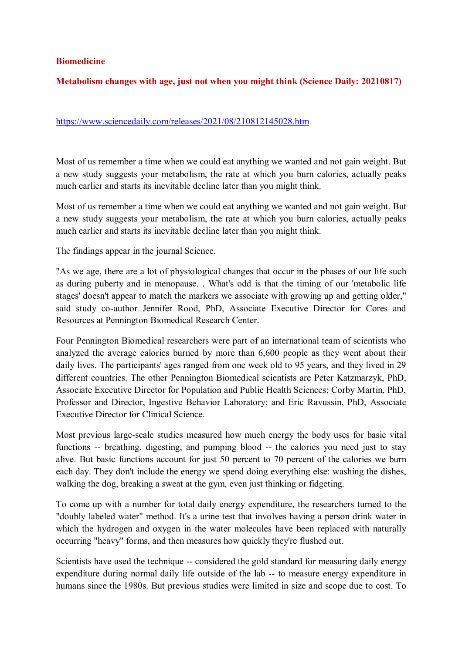#### **Biomedicine**

#### **Metabolism changes with age, just not when you might think (Science Daily: 20210817)**

#### https://www.sciencedaily.com/releases/2021/08/210812145028.htm

Most of us remember a time when we could eat anything we wanted and not gain weight. But a new study suggests your metabolism, the rate at which you burn calories, actually peaks much earlier and starts its inevitable decline later than you might think.

Most of us remember a time when we could eat anything we wanted and not gain weight. But a new study suggests your metabolism, the rate at which you burn calories, actually peaks much earlier and starts its inevitable decline later than you might think.

The findings appear in the journal Science.

"As we age, there are a lot of physiological changes that occur in the phases of our life such as during puberty and in menopause. . What's odd is that the timing of our 'metabolic life stages' doesn't appear to match the markers we associate with growing up and getting older," said study co-author Jennifer Rood, PhD, Associate Executive Director for Cores and Resources at Pennington Biomedical Research Center.

Four Pennington Biomedical researchers were part of an international team of scientists who analyzed the average calories burned by more than 6,600 people as they went about their daily lives. The participants' ages ranged from one week old to 95 years, and they lived in 29 different countries. The other Pennington Biomedical scientists are Peter Katzmarzyk, PhD, Associate Executive Director for Population and Public Health Sciences; Corby Martin, PhD, Professor and Director, Ingestive Behavior Laboratory; and Eric Ravussin, PhD, Associate Executive Director for Clinical Science.

Most previous large-scale studies measured how much energy the body uses for basic vital functions -- breathing, digesting, and pumping blood -- the calories you need just to stay alive. But basic functions account for just 50 percent to 70 percent of the calories we burn each day. They don't include the energy we spend doing everything else: washing the dishes, walking the dog, breaking a sweat at the gym, even just thinking or fidgeting.

To come up with a number for total daily energy expenditure, the researchers turned to the "doubly labeled water" method. It's a urine test that involves having a person drink water in which the hydrogen and oxygen in the water molecules have been replaced with naturally occurring "heavy" forms, and then measures how quickly they're flushed out.

Scientists have used the technique -- considered the gold standard for measuring daily energy expenditure during normal daily life outside of the lab -- to measure energy expenditure in humans since the 1980s. But previous studies were limited in size and scope due to cost. To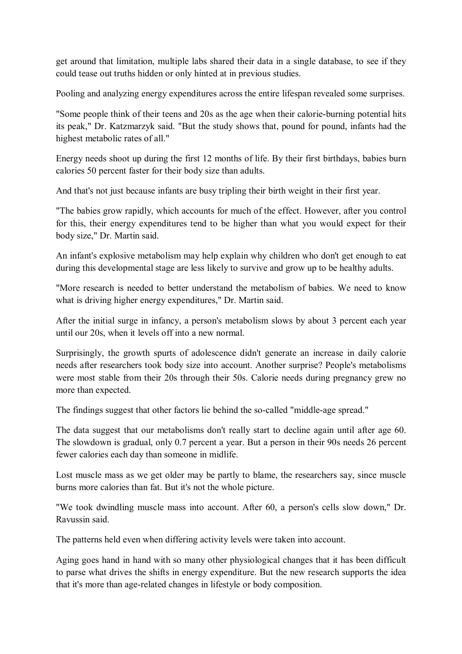get around that limitation, multiple labs shared their data in a single database, to see if they could tease out truths hidden or only hinted at in previous studies.

Pooling and analyzing energy expenditures across the entire lifespan revealed some surprises.

"Some people think of their teens and 20s as the age when their calorie-burning potential hits its peak," Dr. Katzmarzyk said. "But the study shows that, pound for pound, infants had the highest metabolic rates of all."

Energy needs shoot up during the first 12 months of life. By their first birthdays, babies burn calories 50 percent faster for their body size than adults.

And that's not just because infants are busy tripling their birth weight in their first year.

"The babies grow rapidly, which accounts for much of the effect. However, after you control for this, their energy expenditures tend to be higher than what you would expect for their body size," Dr. Martin said.

An infant's explosive metabolism may help explain why children who don't get enough to eat during this developmental stage are less likely to survive and grow up to be healthy adults.

"More research is needed to better understand the metabolism of babies. We need to know what is driving higher energy expenditures," Dr. Martin said.

After the initial surge in infancy, a person's metabolism slows by about 3 percent each year until our 20s, when it levels off into a new normal.

Surprisingly, the growth spurts of adolescence didn't generate an increase in daily calorie needs after researchers took body size into account. Another surprise? People's metabolisms were most stable from their 20s through their 50s. Calorie needs during pregnancy grew no more than expected.

The findings suggest that other factors lie behind the so-called "middle-age spread."

The data suggest that our metabolisms don't really start to decline again until after age 60. The slowdown is gradual, only 0.7 percent a year. But a person in their 90s needs 26 percent fewer calories each day than someone in midlife.

Lost muscle mass as we get older may be partly to blame, the researchers say, since muscle burns more calories than fat. But it's not the whole picture.

"We took dwindling muscle mass into account. After 60, a person's cells slow down," Dr. Ravussin said.

The patterns held even when differing activity levels were taken into account.

Aging goes hand in hand with so many other physiological changes that it has been difficult to parse what drives the shifts in energy expenditure. But the new research supports the idea that it's more than age-related changes in lifestyle or body composition.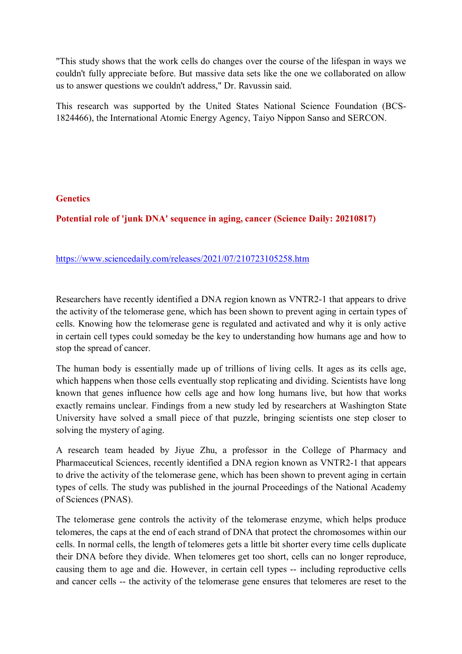"This study shows that the work cells do changes over the course of the lifespan in ways we couldn't fully appreciate before. But massive data sets like the one we collaborated on allow us to answer questions we couldn't address," Dr. Ravussin said.

This research was supported by the United States National Science Foundation (BCS-1824466), the International Atomic Energy Agency, Taiyo Nippon Sanso and SERCON.

#### **Genetics**

**Potential role of 'junk DNA' sequence in aging, cancer (Science Daily: 20210817)** 

### https://www.sciencedaily.com/releases/2021/07/210723105258.htm

Researchers have recently identified a DNA region known as VNTR2-1 that appears to drive the activity of the telomerase gene, which has been shown to prevent aging in certain types of cells. Knowing how the telomerase gene is regulated and activated and why it is only active in certain cell types could someday be the key to understanding how humans age and how to stop the spread of cancer.

The human body is essentially made up of trillions of living cells. It ages as its cells age, which happens when those cells eventually stop replicating and dividing. Scientists have long known that genes influence how cells age and how long humans live, but how that works exactly remains unclear. Findings from a new study led by researchers at Washington State University have solved a small piece of that puzzle, bringing scientists one step closer to solving the mystery of aging.

A research team headed by Jiyue Zhu, a professor in the College of Pharmacy and Pharmaceutical Sciences, recently identified a DNA region known as VNTR2-1 that appears to drive the activity of the telomerase gene, which has been shown to prevent aging in certain types of cells. The study was published in the journal Proceedings of the National Academy of Sciences (PNAS).

The telomerase gene controls the activity of the telomerase enzyme, which helps produce telomeres, the caps at the end of each strand of DNA that protect the chromosomes within our cells. In normal cells, the length of telomeres gets a little bit shorter every time cells duplicate their DNA before they divide. When telomeres get too short, cells can no longer reproduce, causing them to age and die. However, in certain cell types -- including reproductive cells and cancer cells -- the activity of the telomerase gene ensures that telomeres are reset to the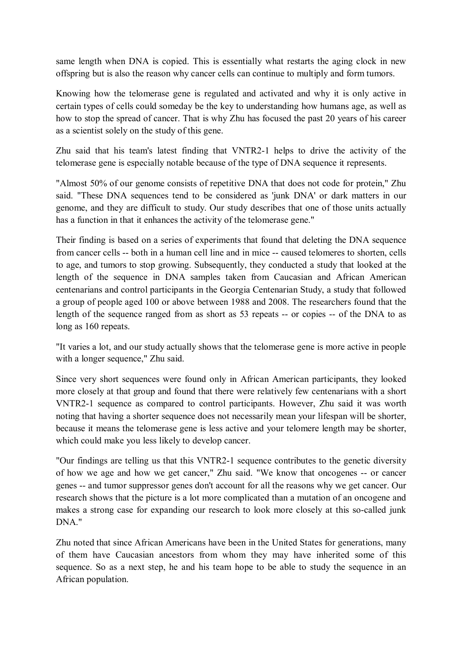same length when DNA is copied. This is essentially what restarts the aging clock in new offspring but is also the reason why cancer cells can continue to multiply and form tumors.

Knowing how the telomerase gene is regulated and activated and why it is only active in certain types of cells could someday be the key to understanding how humans age, as well as how to stop the spread of cancer. That is why Zhu has focused the past 20 years of his career as a scientist solely on the study of this gene.

Zhu said that his team's latest finding that VNTR2-1 helps to drive the activity of the telomerase gene is especially notable because of the type of DNA sequence it represents.

"Almost 50% of our genome consists of repetitive DNA that does not code for protein," Zhu said. "These DNA sequences tend to be considered as 'junk DNA' or dark matters in our genome, and they are difficult to study. Our study describes that one of those units actually has a function in that it enhances the activity of the telomerase gene."

Their finding is based on a series of experiments that found that deleting the DNA sequence from cancer cells -- both in a human cell line and in mice -- caused telomeres to shorten, cells to age, and tumors to stop growing. Subsequently, they conducted a study that looked at the length of the sequence in DNA samples taken from Caucasian and African American centenarians and control participants in the Georgia Centenarian Study, a study that followed a group of people aged 100 or above between 1988 and 2008. The researchers found that the length of the sequence ranged from as short as 53 repeats -- or copies -- of the DNA to as long as 160 repeats.

"It varies a lot, and our study actually shows that the telomerase gene is more active in people with a longer sequence," Zhu said.

Since very short sequences were found only in African American participants, they looked more closely at that group and found that there were relatively few centenarians with a short VNTR2-1 sequence as compared to control participants. However, Zhu said it was worth noting that having a shorter sequence does not necessarily mean your lifespan will be shorter, because it means the telomerase gene is less active and your telomere length may be shorter, which could make you less likely to develop cancer.

"Our findings are telling us that this VNTR2-1 sequence contributes to the genetic diversity of how we age and how we get cancer," Zhu said. "We know that oncogenes -- or cancer genes -- and tumor suppressor genes don't account for all the reasons why we get cancer. Our research shows that the picture is a lot more complicated than a mutation of an oncogene and makes a strong case for expanding our research to look more closely at this so-called junk DNA."

Zhu noted that since African Americans have been in the United States for generations, many of them have Caucasian ancestors from whom they may have inherited some of this sequence. So as a next step, he and his team hope to be able to study the sequence in an African population.